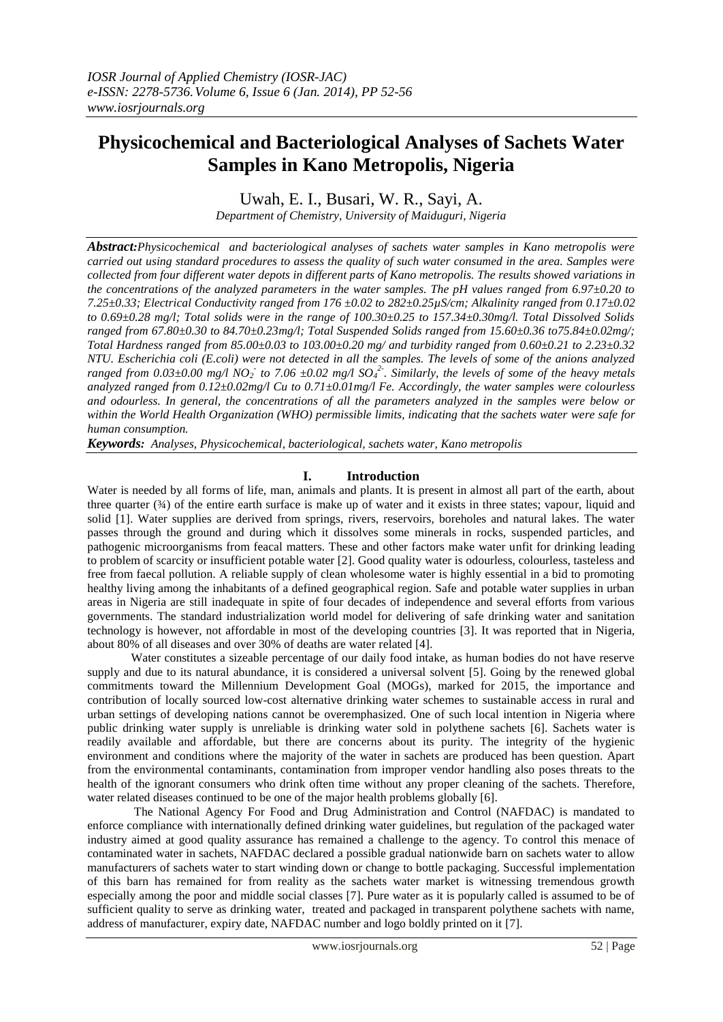# **Physicochemical and Bacteriological Analyses of Sachets Water Samples in Kano Metropolis, Nigeria**

Uwah, E. I., Busari, W. R., Sayi, A.

*Department of Chemistry, University of Maiduguri, Nigeria*

*Abstract:Physicochemical and bacteriological analyses of sachets water samples in Kano metropolis were carried out using standard procedures to assess the quality of such water consumed in the area. Samples were collected from four different water depots in different parts of Kano metropolis. The results showed variations in the concentrations of the analyzed parameters in the water samples. The pH values ranged from 6.97±0.20 to 7.25±0.33; Electrical Conductivity ranged from 176 ±0.02 to 282±0.25µS/cm; Alkalinity ranged from 0.17±0.02 to 0.69±0.28 mg/l; Total solids were in the range of 100.30±0.25 to 157.34±0.30mg/l. Total Dissolved Solids ranged from 67.80±0.30 to 84.70±0.23mg/l; Total Suspended Solids ranged from 15.60±0.36 to75.84±0.02mg/; Total Hardness ranged from 85.00±0.03 to 103.00±0.20 mg/ and turbidity ranged from 0.60±0.21 to 2.23±0.32 NTU. Escherichia coli (E.coli) were not detected in all the samples. The levels of some of the anions analyzed ranged from*  $0.03\pm0.00$  *mg/l NO<sub>2</sub><sup>-</sup> to 7.06*  $\pm0.02$  *mg/l SO<sub>4</sub><sup>2</sup>. Similarly, the levels of some of the heavy metals analyzed ranged from 0.12±0.02mg/l Cu to 0.71±0.01mg/l Fe. Accordingly, the water samples were colourless and odourless. In general, the concentrations of all the parameters analyzed in the samples were below or within the World Health Organization (WHO) permissible limits, indicating that the sachets water were safe for human consumption.* 

*Keywords: Analyses, Physicochemical, bacteriological, sachets water, Kano metropolis*

# **I. Introduction**

Water is needed by all forms of life, man, animals and plants. It is present in almost all part of the earth, about three quarter  $(34)$  of the entire earth surface is make up of water and it exists in three states; vapour, liquid and solid [1]. Water supplies are derived from springs, rivers, reservoirs, boreholes and natural lakes. The water passes through the ground and during which it dissolves some minerals in rocks, suspended particles, and pathogenic microorganisms from feacal matters. These and other factors make water unfit for drinking leading to problem of scarcity or insufficient potable water [2]. Good quality water is odourless, colourless, tasteless and free from faecal pollution. A reliable supply of clean wholesome water is highly essential in a bid to promoting healthy living among the inhabitants of a defined geographical region. Safe and potable water supplies in urban areas in Nigeria are still inadequate in spite of four decades of independence and several efforts from various governments. The standard industrialization world model for delivering of safe drinking water and sanitation technology is however, not affordable in most of the developing countries [3]. It was reported that in Nigeria, about 80% of all diseases and over 30% of deaths are water related [4].

Water constitutes a sizeable percentage of our daily food intake, as human bodies do not have reserve supply and due to its natural abundance, it is considered a universal solvent [5]. Going by the renewed global commitments toward the Millennium Development Goal (MOGs), marked for 2015, the importance and contribution of locally sourced low-cost alternative drinking water schemes to sustainable access in rural and urban settings of developing nations cannot be overemphasized. One of such local intention in Nigeria where public drinking water supply is unreliable is drinking water sold in polythene sachets [6]. Sachets water is readily available and affordable, but there are concerns about its purity. The integrity of the hygienic environment and conditions where the majority of the water in sachets are produced has been question. Apart from the environmental contaminants, contamination from improper vendor handling also poses threats to the health of the ignorant consumers who drink often time without any proper cleaning of the sachets. Therefore, water related diseases continued to be one of the major health problems globally [6].

The National Agency For Food and Drug Administration and Control (NAFDAC) is mandated to enforce compliance with internationally defined drinking water guidelines, but regulation of the packaged water industry aimed at good quality assurance has remained a challenge to the agency. To control this menace of contaminated water in sachets, NAFDAC declared a possible gradual nationwide barn on sachets water to allow manufacturers of sachets water to start winding down or change to bottle packaging. Successful implementation of this barn has remained for from reality as the sachets water market is witnessing tremendous growth especially among the poor and middle social classes [7]. Pure water as it is popularly called is assumed to be of sufficient quality to serve as drinking water, treated and packaged in transparent polythene sachets with name, address of manufacturer, expiry date, NAFDAC number and logo boldly printed on it [7].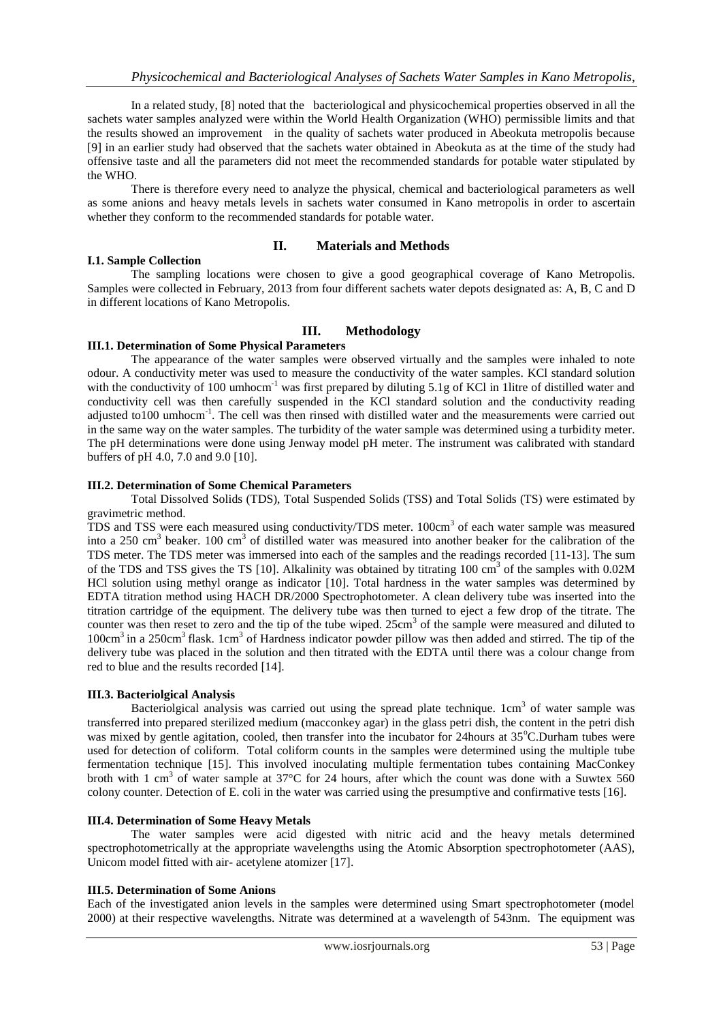In a related study, [8] noted that the bacteriological and physicochemical properties observed in all the sachets water samples analyzed were within the World Health Organization (WHO) permissible limits and that the results showed an improvement in the quality of sachets water produced in Abeokuta metropolis because [9] in an earlier study had observed that the sachets water obtained in Abeokuta as at the time of the study had offensive taste and all the parameters did not meet the recommended standards for potable water stipulated by the WHO.

There is therefore every need to analyze the physical, chemical and bacteriological parameters as well as some anions and heavy metals levels in sachets water consumed in Kano metropolis in order to ascertain whether they conform to the recommended standards for potable water.

# **II. Materials and Methods**

## **I.1. Sample Collection**

The sampling locations were chosen to give a good geographical coverage of Kano Metropolis. Samples were collected in February, 2013 from four different sachets water depots designated as: A, B, C and D in different locations of Kano Metropolis.

# **III. Methodology**

## **III.1. Determination of Some Physical Parameters**

The appearance of the water samples were observed virtually and the samples were inhaled to note odour. A conductivity meter was used to measure the conductivity of the water samples. KCl standard solution with the conductivity of 100 umhocm<sup>-1</sup> was first prepared by diluting 5.1g of KCl in 1litre of distilled water and conductivity cell was then carefully suspended in the KCl standard solution and the conductivity reading adjusted to100 umhocm<sup>-1</sup>. The cell was then rinsed with distilled water and the measurements were carried out in the same way on the water samples. The turbidity of the water sample was determined using a turbidity meter. The pH determinations were done using Jenway model pH meter. The instrument was calibrated with standard buffers of pH 4.0, 7.0 and 9.0 [10].

## **III.2. Determination of Some Chemical Parameters**

Total Dissolved Solids (TDS), Total Suspended Solids (TSS) and Total Solids (TS) were estimated by gravimetric method.

TDS and TSS were each measured using conductivity/TDS meter. 100cm<sup>3</sup> of each water sample was measured into a 250 cm<sup>3</sup> beaker. 100 cm<sup>3</sup> of distilled water was measured into another beaker for the calibration of the TDS meter. The TDS meter was immersed into each of the samples and the readings recorded [11-13]. The sum of the TDS and TSS gives the TS [10]. Alkalinity was obtained by titrating 100 cm<sup>3</sup> of the samples with 0.02M HCl solution using methyl orange as indicator [10]. Total hardness in the water samples was determined by EDTA titration method using HACH DR/2000 Spectrophotometer. A clean delivery tube was inserted into the titration cartridge of the equipment. The delivery tube was then turned to eject a few drop of the titrate. The counter was then reset to zero and the tip of the tube wiped. 25cm<sup>3</sup> of the sample were measured and diluted to 100cm<sup>3</sup> in a 250cm<sup>3</sup> flask. 1cm<sup>3</sup> of Hardness indicator powder pillow was then added and stirred. The tip of the delivery tube was placed in the solution and then titrated with the EDTA until there was a colour change from red to blue and the results recorded [14].

#### **III.3. Bacteriolgical Analysis**

Bacteriolgical analysis was carried out using the spread plate technique.  $1 \text{cm}^3$  of water sample was transferred into prepared sterilized medium (macconkey agar) in the glass petri dish, the content in the petri dish was mixed by gentle agitation, cooled, then transfer into the incubator for 24hours at 35°C.Durham tubes were used for detection of coliform. Total coliform counts in the samples were determined using the multiple tube fermentation technique [15]. This involved inoculating multiple fermentation tubes containing MacConkey broth with 1 cm<sup>3</sup> of water sample at 37°C for 24 hours, after which the count was done with a Suwtex 560 colony counter. Detection of E. coli in the water was carried using the presumptive and confirmative tests [16].

#### **III.4. Determination of Some Heavy Metals**

The water samples were acid digested with nitric acid and the heavy metals determined spectrophotometrically at the appropriate wavelengths using the Atomic Absorption spectrophotometer (AAS), Unicom model fitted with air- acetylene atomizer [17].

# **III.5. Determination of Some Anions**

Each of the investigated anion levels in the samples were determined using Smart spectrophotometer (model 2000) at their respective wavelengths. Nitrate was determined at a wavelength of 543nm. The equipment was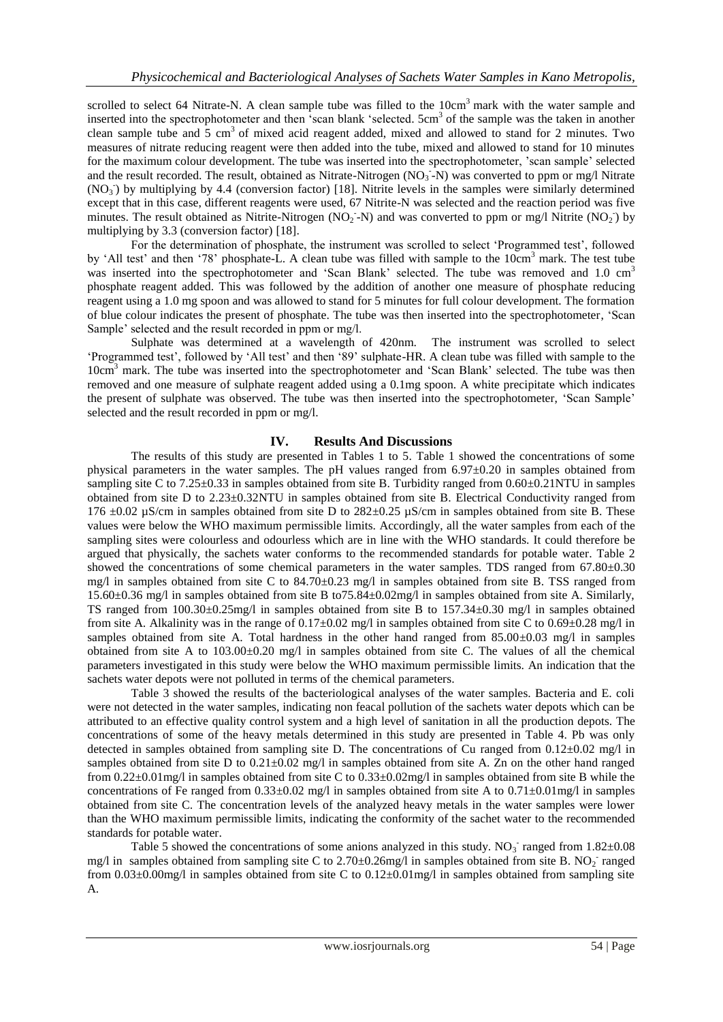scrolled to select 64 Nitrate-N. A clean sample tube was filled to the  $10 \text{cm}^3$  mark with the water sample and inserted into the spectrophotometer and then 'scan blank 'selected. 5cm<sup>3</sup> of the sample was the taken in another clean sample tube and 5 cm<sup>3</sup> of mixed acid reagent added, mixed and allowed to stand for 2 minutes. Two measures of nitrate reducing reagent were then added into the tube, mixed and allowed to stand for 10 minutes for the maximum colour development. The tube was inserted into the spectrophotometer, 'scan sample' selected and the result recorded. The result, obtained as Nitrate-Nitrogen  $(NO<sub>3</sub> - N)$  was converted to ppm or mg/l Nitrate  $(NO<sub>3</sub>)$  by multiplying by 4.4 (conversion factor) [18]. Nitrite levels in the samples were similarly determined except that in this case, different reagents were used, 67 Nitrite-N was selected and the reaction period was five minutes. The result obtained as Nitrite-Nitrogen (NO<sub>2</sub>-N) and was converted to ppm or mg/l Nitrite (NO<sub>2</sub>) by multiplying by 3.3 (conversion factor) [18].

For the determination of phosphate, the instrument was scrolled to select 'Programmed test', followed by 'All test' and then '78' phosphate-L. A clean tube was filled with sample to the 10cm<sup>3</sup> mark. The test tube was inserted into the spectrophotometer and 'Scan Blank' selected. The tube was removed and 1.0 cm<sup>3</sup> phosphate reagent added. This was followed by the addition of another one measure of phosphate reducing reagent using a 1.0 mg spoon and was allowed to stand for 5 minutes for full colour development. The formation of blue colour indicates the present of phosphate. The tube was then inserted into the spectrophotometer, 'Scan Sample' selected and the result recorded in ppm or mg/l.

Sulphate was determined at a wavelength of 420nm. The instrument was scrolled to select 'Programmed test', followed by 'All test' and then '89' sulphate-HR. A clean tube was filled with sample to the 10cm<sup>3</sup> mark. The tube was inserted into the spectrophotometer and 'Scan Blank' selected. The tube was then removed and one measure of sulphate reagent added using a 0.1mg spoon. A white precipitate which indicates the present of sulphate was observed. The tube was then inserted into the spectrophotometer, 'Scan Sample' selected and the result recorded in ppm or mg/l.

# **IV. Results And Discussions**

The results of this study are presented in Tables 1 to 5. Table 1 showed the concentrations of some physical parameters in the water samples. The pH values ranged from 6.97±0.20 in samples obtained from sampling site C to 7.25±0.33 in samples obtained from site B. Turbidity ranged from 0.60±0.21NTU in samples obtained from site D to 2.23±0.32NTU in samples obtained from site B. Electrical Conductivity ranged from 176 ±0.02 µS/cm in samples obtained from site D to 282±0.25 µS/cm in samples obtained from site B. These values were below the WHO maximum permissible limits. Accordingly, all the water samples from each of the sampling sites were colourless and odourless which are in line with the WHO standards. It could therefore be argued that physically, the sachets water conforms to the recommended standards for potable water. Table 2 showed the concentrations of some chemical parameters in the water samples. TDS ranged from 67.80±0.30 mg/l in samples obtained from site C to 84.70±0.23 mg/l in samples obtained from site B. TSS ranged from 15.60±0.36 mg/l in samples obtained from site B to75.84±0.02mg/l in samples obtained from site A. Similarly, TS ranged from 100.30±0.25mg/l in samples obtained from site B to 157.34±0.30 mg/l in samples obtained from site A. Alkalinity was in the range of  $0.17\pm0.02$  mg/l in samples obtained from site C to  $0.69\pm0.28$  mg/l in samples obtained from site A. Total hardness in the other hand ranged from  $85.00\pm0.03$  mg/l in samples obtained from site A to  $103.00\pm0.20$  mg/l in samples obtained from site C. The values of all the chemical parameters investigated in this study were below the WHO maximum permissible limits. An indication that the sachets water depots were not polluted in terms of the chemical parameters.

Table 3 showed the results of the bacteriological analyses of the water samples. Bacteria and E. coli were not detected in the water samples, indicating non feacal pollution of the sachets water depots which can be attributed to an effective quality control system and a high level of sanitation in all the production depots. The concentrations of some of the heavy metals determined in this study are presented in Table 4. Pb was only detected in samples obtained from sampling site D. The concentrations of Cu ranged from  $0.12\pm0.02$  mg/l in samples obtained from site D to 0.21±0.02 mg/l in samples obtained from site A. Zn on the other hand ranged from 0.22±0.01mg/l in samples obtained from site C to 0.33±0.02mg/l in samples obtained from site B while the concentrations of Fe ranged from  $0.33\pm0.02$  mg/l in samples obtained from site A to  $0.71\pm0.01$  mg/l in samples obtained from site C. The concentration levels of the analyzed heavy metals in the water samples were lower than the WHO maximum permissible limits, indicating the conformity of the sachet water to the recommended standards for potable water.

Table 5 showed the concentrations of some anions analyzed in this study.  $NO_3^-$  ranged from 1.82 $\pm$ 0.08 mg/l in samples obtained from sampling site C to  $2.70\pm0.26$  mg/l in samples obtained from site B. NO<sub>2</sub> ranged from  $0.03\pm0.00$ mg/l in samples obtained from site C to  $0.12\pm0.01$ mg/l in samples obtained from sampling site A.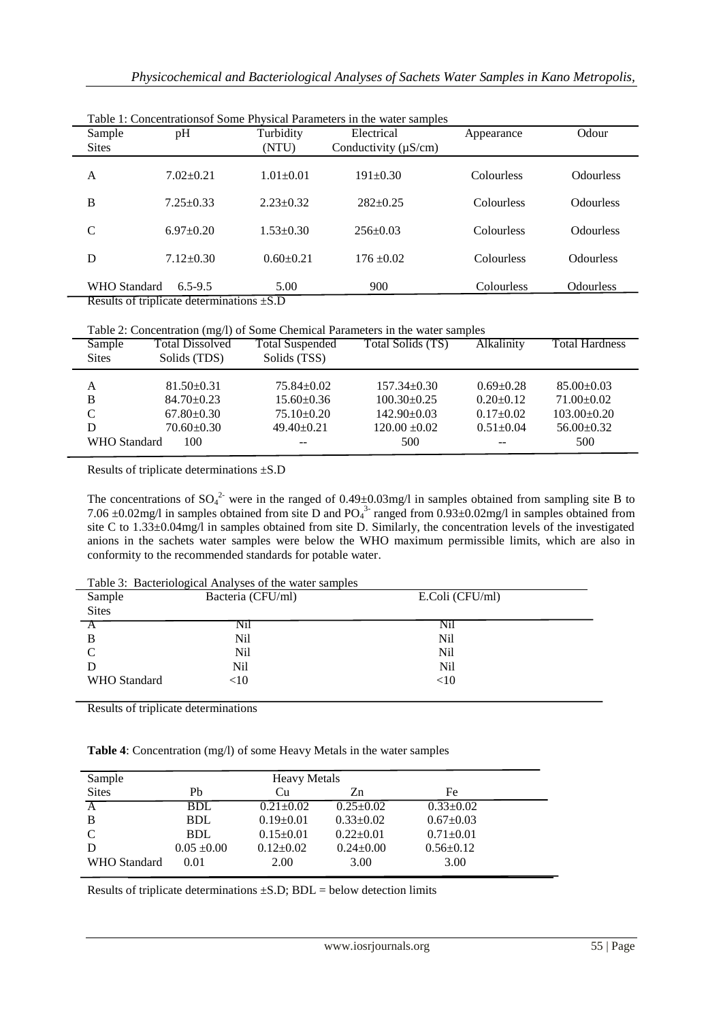| Sample              | pH                                                            | Turbidity       | Electrical                | Appearance | Odour            |
|---------------------|---------------------------------------------------------------|-----------------|---------------------------|------------|------------------|
| <b>Sites</b>        |                                                               | (NTU)           | Conductivity $(\mu S/cm)$ |            |                  |
| A                   | $7.02 \pm 0.21$                                               | $1.01 \pm 0.01$ | $191 \pm 0.30$            | Colourless | <b>Odourless</b> |
| B                   | $7.25 \pm 0.33$                                               | $2.23 \pm 0.32$ | $282+0.25$                | Colourless | <b>Odourless</b> |
| $\mathsf{C}$        | $6.97 \pm 0.20$                                               | $1.53 \pm 0.30$ | $256 \pm 0.03$            | Colourless | <b>Odourless</b> |
| D                   | $7.12 \pm 0.30$                                               | $0.60 \pm 0.21$ | $176 + 0.02$              | Colourless | <b>Odourless</b> |
| <b>WHO</b> Standard | $6.5 - 9.5$<br>Results of triplicate determinations $\pm$ S.D | 5.00            | 900                       | Colourless | <b>Odourless</b> |

Table 1: Concentrationsof Some Physical Parameters in the water samples

Results of triplicate determinations ±S.D

| Table 2: Concentration (mg/l) of Some Chemical Parameters in the water samples |  |  |  |
|--------------------------------------------------------------------------------|--|--|--|
|                                                                                |  |  |  |

| Sample       | <b>Total Dissolved</b> | <b>Total Suspended</b> | Total Solids (TS) | Alkalinity      | <b>Total Hardness</b> |
|--------------|------------------------|------------------------|-------------------|-----------------|-----------------------|
| <b>Sites</b> | Solids (TDS)           | Solids (TSS)           |                   |                 |                       |
|              |                        |                        |                   |                 |                       |
| A            | $81.50 \pm 0.31$       | $75.84 \pm 0.02$       | $157.34 \pm 0.30$ | $0.69 \pm 0.28$ | $85.00 \pm 0.03$      |
| B            | $84.70 \pm 0.23$       | $15.60 \pm 0.36$       | $100.30\pm0.25$   | $0.20+0.12$     | $71.00 \pm 0.02$      |
| C            | $67.80 \pm 0.30$       | $75.10 \pm 0.20$       | $142.90 \pm 0.03$ | $0.17+0.02$     | $103.00 \pm 0.20$     |
| D            | $70.60 \pm 0.30$       | $49.40 \pm 0.21$       | $120.00 \pm 0.02$ | $0.51 \pm 0.04$ | $56.00+0.32$          |
| WHO Standard | 100                    | $- -$                  | 500               | $-$             | 500                   |

Results of triplicate determinations ±S.D

The concentrations of  $SO_4^2$  were in the ranged of 0.49±0.03mg/l in samples obtained from sampling site B to 7.06  $\pm$ 0.02mg/l in samples obtained from site D and PO<sub>4</sub><sup>3-</sup> ranged from 0.93 $\pm$ 0.02mg/l in samples obtained from site C to 1.33±0.04mg/l in samples obtained from site D. Similarly, the concentration levels of the investigated anions in the sachets water samples were below the WHO maximum permissible limits, which are also in conformity to the recommended standards for potable water.

|              | Table 5. Bacterfological Allaryses of the water samples |                 |  |
|--------------|---------------------------------------------------------|-----------------|--|
| Sample       | Bacteria (CFU/ml)                                       | E.Coli (CFU/ml) |  |
| <b>Sites</b> |                                                         |                 |  |
|              | N1l                                                     | N11             |  |
| - B          | Nil                                                     | Nil             |  |
| C            | Nil                                                     | Nil             |  |
|              | Nil                                                     | Nil             |  |
| WHO Standard | $<$ 10                                                  | $<$ 10          |  |
|              |                                                         |                 |  |

Table 3: Bacteriological Analyses of the water samples

Results of triplicate determinations

**Table 4**: Concentration (mg/l) of some Heavy Metals in the water samples

| Sample         | <b>Heavy Metals</b> |                 |                 |                 |  |  |
|----------------|---------------------|-----------------|-----------------|-----------------|--|--|
| <b>Sites</b>   | Ph                  | Сu              | Zn              | Fe              |  |  |
| $\overline{A}$ | <b>BDL</b>          | $0.21 \pm 0.02$ | $0.25 \pm 0.02$ | $0.33 \pm 0.02$ |  |  |
| B              | <b>BDL</b>          | $0.19 \pm 0.01$ | $0.33 \pm 0.02$ | $0.67 \pm 0.03$ |  |  |
| $\mathcal{C}$  | <b>BDL</b>          | $0.15 \pm 0.01$ | $0.22 \pm 0.01$ | $0.71 \pm 0.01$ |  |  |
| D              | $0.05 \pm 0.00$     | $0.12{\pm}0.02$ | $0.24 \pm 0.00$ | $0.56 \pm 0.12$ |  |  |
| WHO Standard   | 0.01                | 2.00            | 3.00            | 3.00            |  |  |

Results of triplicate determinations  $\pm$ S.D; BDL = below detection limits